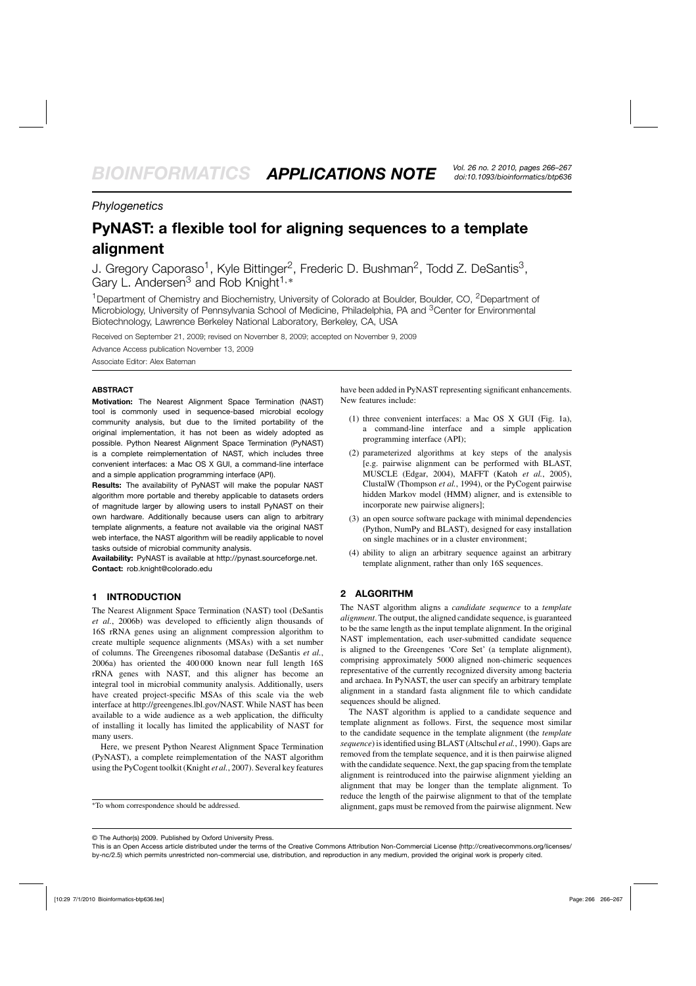# *Phylogenetics*

# **PyNAST: a flexible tool for aligning sequences to a template alignment**

J. Gregory Caporaso<sup>1</sup>, Kyle Bittinger<sup>2</sup>, Frederic D. Bushman<sup>2</sup>, Todd Z. DeSantis<sup>3</sup>, Gary L. Andersen<sup>3</sup> and Rob Knight<sup>1,∗</sup>

<sup>1</sup> Department of Chemistry and Biochemistry, University of Colorado at Boulder, Boulder, CO, <sup>2</sup> Department of Microbiology, University of Pennsylvania School of Medicine, Philadelphia, PA and <sup>3</sup>Center for Environmental Biotechnology, Lawrence Berkeley National Laboratory, Berkeley, CA, USA

Received on September 21, 2009; revised on November 8, 2009; accepted on November 9, 2009

Advance Access publication November 13, 2009 Associate Editor: Alex Bateman

#### **ABSTRACT**

**Motivation:** The Nearest Alignment Space Termination (NAST) tool is commonly used in sequence-based microbial ecology community analysis, but due to the limited portability of the original implementation, it has not been as widely adopted as possible. Python Nearest Alignment Space Termination (PyNAST) is a complete reimplementation of NAST, which includes three convenient interfaces: a Mac OS X GUI, a command-line interface and a simple application programming interface (API).

**Results:** The availability of PyNAST will make the popular NAST algorithm more portable and thereby applicable to datasets orders of magnitude larger by allowing users to install PyNAST on their own hardware. Additionally because users can align to arbitrary template alignments, a feature not available via the original NAST web interface, the NAST algorithm will be readily applicable to novel tasks outside of microbial community analysis.

**Availability:** PyNAST is available at [http://pynast.sourceforge.net.](http://pynast.sourceforge.net) **Contact:** rob.knight@colorado.edu

## **1 INTRODUCTION**

The Nearest Alignment Space Termination (NAST) tool (DeSantis *et al.*, 2006b) was developed to efficiently align thousands of 16S rRNA genes using an alignment compression algorithm to create multiple sequence alignments (MSAs) with a set number of columns. The Greengenes ribosomal database (DeSantis *et al.*, 2006a) has oriented the 400 000 known near full length 16S rRNA genes with NAST, and this aligner has become an integral tool in microbial community analysis. Additionally, users have created project-specific MSAs of this scale via the web interface at [http://greengenes.lbl.gov/NAST.](http://greengenes.lbl.gov/NAST) While NAST has been available to a wide audience as a web application, the difficulty of installing it locally has limited the applicability of NAST for many users.

Here, we present Python Nearest Alignment Space Termination (PyNAST), a complete reimplementation of the NAST algorithm using the PyCogent toolkit (Knight *et al.*, 2007). Several key features have been added in PyNAST representing significant enhancements. New features include:

- (1) three convenient interfaces: a Mac OS X GUI (Fig. 1a), a command-line interface and a simple application programming interface (API);
- (2) parameterized algorithms at key steps of the analysis [e.g. pairwise alignment can be performed with BLAST, MUSCLE (Edgar, 2004), MAFFT (Katoh *et al.*, 2005), ClustalW (Thompson *et al.*, 1994), or the PyCogent pairwise hidden Markov model (HMM) aligner, and is extensible to incorporate new pairwise aligners];
- (3) an open source software package with minimal dependencies (Python, NumPy and BLAST), designed for easy installation on single machines or in a cluster environment;
- (4) ability to align an arbitrary sequence against an arbitrary template alignment, rather than only 16S sequences.

#### **2 ALGORITHM**

The NAST algorithm aligns a *candidate sequence* to a *template alignment*. The output, the aligned candidate sequence, is guaranteed to be the same length as the input template alignment. In the original NAST implementation, each user-submitted candidate sequence is aligned to the Greengenes 'Core Set' (a template alignment), comprising approximately 5000 aligned non-chimeric sequences representative of the currently recognized diversity among bacteria and archaea. In PyNAST, the user can specify an arbitrary template alignment in a standard fasta alignment file to which candidate sequences should be aligned.

The NAST algorithm is applied to a candidate sequence and template alignment as follows. First, the sequence most similar to the candidate sequence in the template alignment (the *template sequence*) is identified using BLAST (Altschul *et al.*, 1990). Gaps are removed from the template sequence, and it is then pairwise aligned with the candidate sequence. Next, the gap spacing from the template alignment is reintroduced into the pairwise alignment yielding an alignment that may be longer than the template alignment. To reduce the length of the pairwise alignment to that of the template alignment, gaps must be removed from the pairwise alignment. New

<sup>∗</sup>To whom correspondence should be addressed.

<sup>©</sup> The Author(s) 2009. Published by Oxford University Press.

This is an Open Access article distributed under the terms of the Creative Commons Attribution Non-Commercial License [\(http://creativecommons.org/licenses/](http://creativecommons.org/licenses/) by-nc/2.5) which permits unrestricted non-commercial use, distribution, and reproduction in any medium, provided the original work is properly cited.